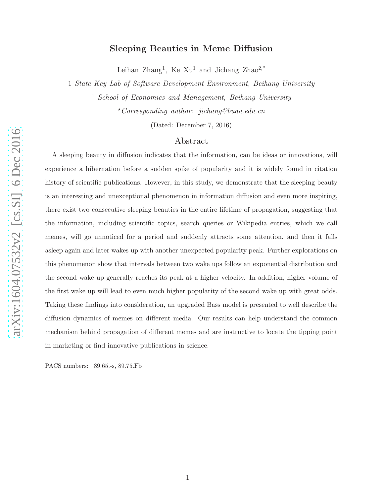# Sleeping Beauties in Meme Diffusion

Leihan Zhang<sup>1</sup>, Ke Xu<sup>1</sup> and Jichang Zhao<sup>2,\*</sup>

1 *State Key Lab of Software Development Environment, Beihang University*

<sup>1</sup> *School of Economics and Management, Beihang University*

<sup>⋆</sup>*Corresponding author: jichang@buaa.edu.cn*

(Dated: December 7, 2016)

# Abstract

A sleeping beauty in diffusion indicates that the information, can be ideas or innovations, will experience a hibernation before a sudden spike of popularity and it is widely found in citation history of scientific publications. However, in this study, we demonstrate that the sleeping beauty is an interesting and unexceptional phenomenon in information diffusion and even more inspiring, there exist two consecutive sleeping beauties in the entire lifetime of propagation, suggesting that the information, including scientific topics, search queries or Wikipedia entries, which we call memes, will go unnoticed for a period and suddenly attracts some attention, and then it falls asleep again and later wakes up with another unexpected popularity peak. Further explorations on this phenomenon show that intervals between two wake ups follow an exponential distribution and the second wake up generally reaches its peak at a higher velocity. In addition, higher volume of the first wake up will lead to even much higher popularity of the second wake up with great odds. Taking these findings into consideration, an upgraded Bass model is presented to well describe the diffusion dynamics of memes on different media. Our results can help understand the common mechanism behind propagation of different memes and are instructive to locate the tipping point in marketing or find innovative publications in science.

PACS numbers: 89.65.-s, 89.75.Fb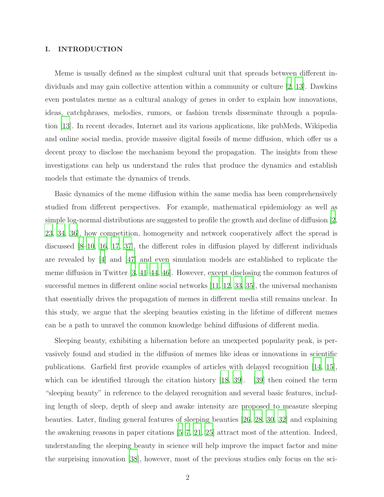## I. INTRODUCTION

Meme is usually defined as the simplest cultural unit that spreads between different individuals and may gain collective attention within a community or culture [\[2,](#page-19-0) [13](#page-20-0)]. Dawkins even postulates meme as a cultural analogy of genes in order to explain how innovations, ideas, catchphrases, melodies, rumors, or fashion trends disseminate through a population [\[13\]](#page-20-0). In recent decades, Internet and its various applications, like pubMeds, Wikipedia and online social media, provide massive digital fossils of meme diffusion, which offer us a decent proxy to disclose the mechanism beyond the propagation. The insights from these investigations can help us understand the rules that produce the dynamics and establish models that estimate the dynamics of trends.

Basic dynamics of the meme diffusion within the same media has been comprehensively studied from different perspectives. For example, mathematical epidemiology as well as simple log-normal distributions are suggested to profile the growth and decline of diffusion [\[2,](#page-19-0) [23,](#page-21-0) [34](#page-21-1), [36\]](#page-22-0), how competition, homogeneity and network cooperatively affect the spread is discussed [\[8](#page-20-1)[–10,](#page-20-2) [16](#page-20-3), [17](#page-20-4), [37\]](#page-22-1), the different roles in diffusion played by different individuals are revealed by [\[4\]](#page-19-1) and [\[47\]](#page-22-2) and even simulation models are established to replicate the meme diffusion in Twitter [\[3](#page-19-2), [41](#page-22-3)[–44,](#page-22-4) [46](#page-22-5)]. However, except disclosing the common features of successful memes in different online social networks [\[11](#page-20-5), [12,](#page-20-6) [33,](#page-21-2) [35\]](#page-21-3), the universal mechanism that essentially drives the propagation of memes in different media still remains unclear. In this study, we argue that the sleeping beauties existing in the lifetime of different memes can be a path to unravel the common knowledge behind diffusions of different media.

Sleeping beauty, exhibiting a hibernation before an unexpected popularity peak, is pervasively found and studied in the diffusion of memes like ideas or innovations in scientific publications. Garfield first provide examples of articles with delayed recognition [\[14](#page-20-7), [15\]](#page-20-8), which can be identified through the citation history [\[18](#page-20-9), [39](#page-22-6)]. [\[39](#page-22-6)] then coined the term "sleeping beauty" in reference to the delayed recognition and several basic features, including length of sleep, depth of sleep and awake intensity are proposed to measure sleeping beauties. Later, finding general features of sleeping beauties [\[26](#page-21-4), [28](#page-21-5), [30](#page-21-6), [32\]](#page-21-7) and explaining the awakening reasons in paper citations [\[5](#page-19-3)[–7,](#page-20-10) [21,](#page-21-8) [25\]](#page-21-9) attract most of the attention. Indeed, understanding the sleeping beauty in science will help improve the impact factor and mine the surprising innovation [\[38](#page-22-7)], however, most of the previous studies only focus on the sci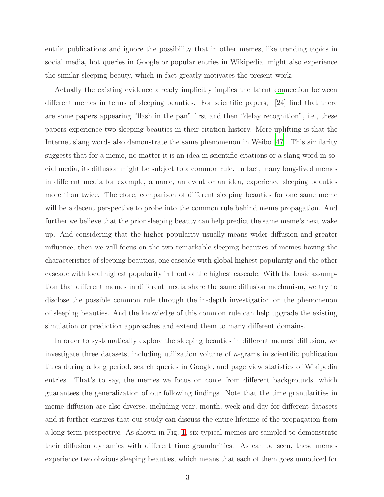entific publications and ignore the possibility that in other memes, like trending topics in social media, hot queries in Google or popular entries in Wikipedia, might also experience the similar sleeping beauty, which in fact greatly motivates the present work.

Actually the existing evidence already implicitly implies the latent connection between different memes in terms of sleeping beauties. For scientific papers, [\[24](#page-21-10)] find that there are some papers appearing "flash in the pan" first and then "delay recognition", i.e., these papers experience two sleeping beauties in their citation history. More uplifting is that the Internet slang words also demonstrate the same phenomenon in Weibo [\[47\]](#page-22-2). This similarity suggests that for a meme, no matter it is an idea in scientific citations or a slang word in social media, its diffusion might be subject to a common rule. In fact, many long-lived memes in different media for example, a name, an event or an idea, experience sleeping beauties more than twice. Therefore, comparison of different sleeping beauties for one same meme will be a decent perspective to probe into the common rule behind meme propagation. And further we believe that the prior sleeping beauty can help predict the same meme's next wake up. And considering that the higher popularity usually means wider diffusion and greater influence, then we will focus on the two remarkable sleeping beauties of memes having the characteristics of sleeping beauties, one cascade with global highest popularity and the other cascade with local highest popularity in front of the highest cascade. With the basic assumption that different memes in different media share the same diffusion mechanism, we try to disclose the possible common rule through the in-depth investigation on the phenomenon of sleeping beauties. And the knowledge of this common rule can help upgrade the existing simulation or prediction approaches and extend them to many different domains.

In order to systematically explore the sleeping beauties in different memes' diffusion, we investigate three datasets, including utilization volume of  $n$ -grams in scientific publication titles during a long period, search queries in Google, and page view statistics of Wikipedia entries. That's to say, the memes we focus on come from different backgrounds, which guarantees the generalization of our following findings. Note that the time granularities in meme diffusion are also diverse, including year, month, week and day for different datasets and it further ensures that our study can discuss the entire lifetime of the propagation from a long-term perspective. As shown in Fig. [1,](#page-3-0) six typical memes are sampled to demonstrate their diffusion dynamics with different time granularities. As can be seen, these memes experience two obvious sleeping beauties, which means that each of them goes unnoticed for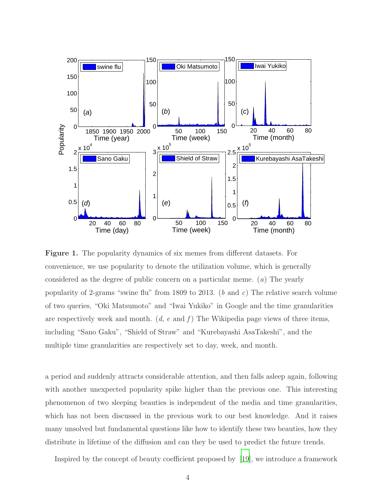<span id="page-3-0"></span>

Figure 1. The popularity dynamics of six memes from different datasets. For convenience, we use popularity to denote the utilization volume, which is generally considered as the degree of public concern on a particular meme. (*a*) The yearly popularity of 2-grams "swine flu" from 1809 to 2013. (*b* and *c*) The relative search volume of two queries, "Oki Matsumoto" and "Iwai Yukiko" in Google and the time granularities are respectively week and month. (*d*, *e* and *f* ) The Wikipedia page views of three items, including "Sano Gaku", "Shield of Straw" and "Kurebayashi AsaTakeshi", and the multiple time granularities are respectively set to day, week, and month.

a period and suddenly attracts considerable attention, and then falls asleep again, following with another unexpected popularity spike higher than the previous one. This interesting phenomenon of two sleeping beauties is independent of the media and time granularities, which has not been discussed in the previous work to our best knowledge. And it raises many unsolved but fundamental questions like how to identify these two beauties, how they distribute in lifetime of the diffusion and can they be used to predict the future trends.

Inspired by the concept of beauty coefficient proposed by [\[19](#page-20-11)], we introduce a framework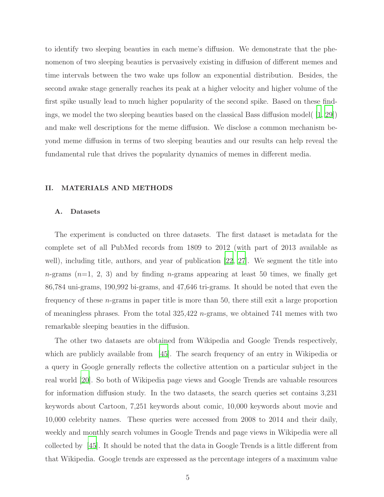to identify two sleeping beauties in each meme's diffusion. We demonstrate that the phenomenon of two sleeping beauties is pervasively existing in diffusion of different memes and time intervals between the two wake ups follow an exponential distribution. Besides, the second awake stage generally reaches its peak at a higher velocity and higher volume of the first spike usually lead to much higher popularity of the second spike. Based on these findings, we model the two sleeping beauties based on the classical Bass diffusion model( [\[1](#page-19-4), [29\]](#page-21-11)) and make well descriptions for the meme diffusion. We disclose a common mechanism beyond meme diffusion in terms of two sleeping beauties and our results can help reveal the fundamental rule that drives the popularity dynamics of memes in different media.

#### II. MATERIALS AND METHODS

#### A. Datasets

The experiment is conducted on three datasets. The first dataset is metadata for the complete set of all PubMed records from 1809 to 2012 (with part of 2013 available as well), including title, authors, and year of publication [\[22,](#page-21-12) [27](#page-21-13)]. We segment the title into  $n$ -grams  $(n=1, 2, 3)$  and by finding  $n$ -grams appearing at least 50 times, we finally get 86,784 uni-grams, 190,992 bi-grams, and 47,646 tri-grams. It should be noted that even the frequency of these n-grams in paper title is more than 50, there still exit a large proportion of meaningless phrases. From the total  $325,422$  n-grams, we obtained 741 memes with two remarkable sleeping beauties in the diffusion.

The other two datasets are obtained from Wikipedia and Google Trends respectively, which are publicly available from [\[45](#page-22-8)]. The search frequency of an entry in Wikipedia or a query in Google generally reflects the collective attention on a particular subject in the real world [\[20\]](#page-20-12). So both of Wikipedia page views and Google Trends are valuable resources for information diffusion study. In the two datasets, the search queries set contains 3,231 keywords about Cartoon, 7,251 keywords about comic, 10,000 keywords about movie and 10,000 celebrity names. These queries were accessed from 2008 to 2014 and their daily, weekly and monthly search volumes in Google Trends and page views in Wikipedia were all collected by [\[45](#page-22-8)]. It should be noted that the data in Google Trends is a little different from that Wikipedia. Google trends are expressed as the percentage integers of a maximum value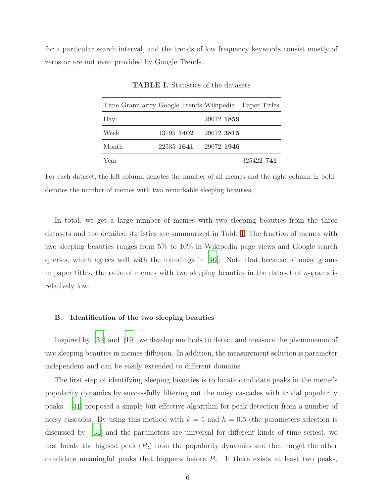<span id="page-5-0"></span>for a particular search interval, and the trends of low frequency keywords consist mostly of zeros or are not even provided by Google Trends.

| Time Granularity Google Trends Wikipedia Paper Titles |                       |            |            |
|-------------------------------------------------------|-----------------------|------------|------------|
| Day                                                   |                       | 29072 1859 |            |
| Week                                                  | 13195 1402 29072 3815 |            |            |
| Month                                                 | 22535 1641 29072 1946 |            |            |
| Year                                                  |                       |            | 325422 741 |

TABLE I. Statistics of the datasets

For each dataset, the left column denotes the number of all memes and the right column in bold denotes the number of memes with two remarkable sleeping beauties.

In total, we get a large number of memes with two sleeping beauties from the three datasets and the detailed statistics are summarized in Table [I.](#page-5-0) The fraction of memes with two sleeping beauties ranges from 5% to 10% in Wikipedia page views and Google search queries, which agrees well with the foundings in [\[40\]](#page-22-9). Note that because of noisy grams in paper titles, the ratio of memes with two sleeping beauties in the dataset of  $n$ -grams is relatively low.

## B. Identification of the two sleeping beauties

Inspired by [\[31](#page-21-14)] and [\[19](#page-20-11)], we develop methods to detect and measure the phenomenon of two sleeping beauties in memes diffusion. In addition, the measurement solution is parameter independent and can be easily extended to different domains.

The first step of identifying sleeping beauties is to locate candidate peaks in the meme's popularity dynamics by successfully filtering out the noisy cascades with trivial popularity peaks. [\[31](#page-21-14)] proposed a simple but effective algorithm for peak detection from a number of noisy cascades. By using this method with  $k = 5$  and  $h = 0.5$  (the parameters selection is discussed by [\[31\]](#page-21-14) and the parameters are universal for different kinds of time series), we first locate the highest peak  $(P_2)$  from the popularity dynamics and then target the other candidate meaningful peaks that happens before  $P_2$ . If there exists at least two peaks,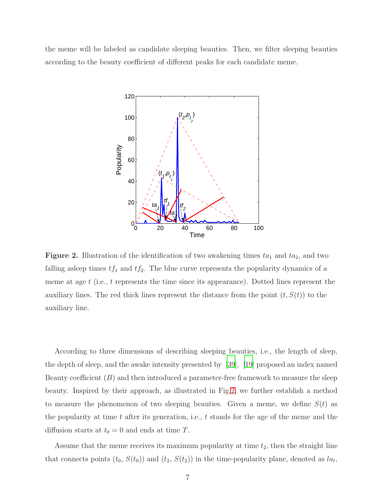<span id="page-6-0"></span>the meme will be labeled as candidate sleeping beauties. Then, we filter sleeping beauties according to the beauty coefficient of different peaks for each candidate meme.



Figure 2. Illustration of the identification of two awakening times  $ta_1$  and  $ta_2$ , and two falling asleep times  $tf_1$  and  $tf_2$ . The blue curve represents the popularity dynamics of a meme at age t (i.e., t represents the time since its appearance). Dotted lines represent the auxiliary lines. The red thick lines represent the distance from the point  $(t, S(t))$  to the auxiliary line.

According to three dimensions of describing sleeping beauties, i.e., the length of sleep, the depth of sleep, and the awake intensity presented by [\[39\]](#page-22-6), [\[19\]](#page-20-11) proposed an index named Beauty coefficient  $(B)$  and then introduced a parameter-free framework to measure the sleep beauty. Inspired by their approach, as illustrated in Fig[.2,](#page-6-0) we further establish a method to measure the phenomenon of two sleeping beauties. Given a meme, we define  $S(t)$  as the popularity at time  $t$  after its generation, i.e.,  $t$  stands for the age of the meme and the diffusion starts at  $t_0 = 0$  and ends at time T.

Assume that the meme receives its maximum popularity at time  $t_2$ , then the straight line that connects points  $(t_0, S(t_0))$  and  $(t_2, S(t_2))$  in the time-popularity plane, denoted as  $la_t$ ,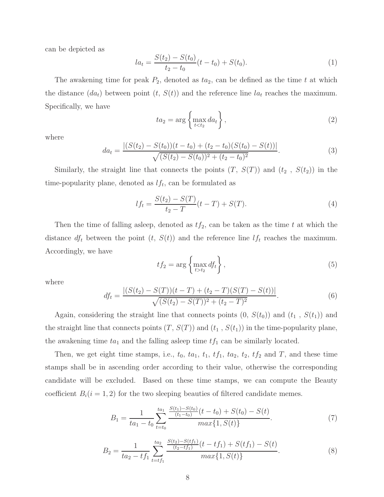can be depicted as

$$
la_t = \frac{S(t_2) - S(t_0)}{t_2 - t_0}(t - t_0) + S(t_0).
$$
\n(1)

The awakening time for peak  $P_2$ , denoted as  $ta_2$ , can be defined as the time t at which the distance  $(da_t)$  between point  $(t, S(t))$  and the reference line  $la_t$  reaches the maximum. Specifically, we have

$$
ta_2 = \arg\left\{\max_{t < t_2} da_t\right\},\tag{2}
$$

where

$$
da_t = \frac{|(S(t_2) - S(t_0))(t - t_0) + (t_2 - t_0)(S(t_0) - S(t))|}{\sqrt{(S(t_2) - S(t_0))^2 + (t_2 - t_0)^2}}.
$$
\n(3)

Similarly, the straight line that connects the points  $(T, S(T))$  and  $(t_2, S(t_2))$  in the time-popularity plane, denoted as  $lf_t$ , can be formulated as

$$
l f_t = \frac{S(t_2) - S(T)}{t_2 - T}(t - T) + S(T). \tag{4}
$$

Then the time of falling asleep, denoted as  $tf_2$ , can be taken as the time t at which the distance  $df_t$  between the point  $(t, S(t))$  and the reference line  $lf_t$  reaches the maximum. Accordingly, we have

$$
tf_2 = \arg\left\{\max_{t>t_2} df_t\right\},\tag{5}
$$

where

$$
df_t = \frac{|(S(t_2) - S(T))(t - T) + (t_2 - T)(S(T) - S(t))|}{\sqrt{(S(t_2) - S(T))^2 + (t_2 - T)^2}}.
$$
\n(6)

Again, considering the straight line that connects points  $(0, S(t_0))$  and  $(t_1, S(t_1))$  and the straight line that connects points  $(T, S(T))$  and  $(t_1, S(t_1))$  in the time-popularity plane, the awakening time  $ta_1$  and the falling asleep time  $tf_1$  can be similarly located.

Then, we get eight time stamps, i.e.,  $t_0$ ,  $ta_1$ ,  $t_1$ ,  $tf_1$ ,  $ta_2$ ,  $t_2$ ,  $tf_2$  and  $T$ , and these time stamps shall be in ascending order according to their value, otherwise the corresponding candidate will be excluded. Based on these time stamps, we can compute the Beauty coefficient  $B_i(i = 1, 2)$  for the two sleeping beauties of filtered candidate memes.

$$
B_1 = \frac{1}{ta_1 - t_0} \sum_{t=t_0}^{ta_1} \frac{\frac{S(t_1) - S(t_0)}{(t_1 - t_0)}(t - t_0) + S(t_0) - S(t)}{max\{1, S(t)\}}.
$$
(7)

$$
B_2 = \frac{1}{ta_2 - tf_1} \sum_{t=tf_1}^{ta_2} \frac{\frac{S(t_2) - S(tf_1)}{(t_2 - tf_1)}(t - tf_1) + S(tf_1) - S(t)}{max\{1, S(t)\}}.
$$
(8)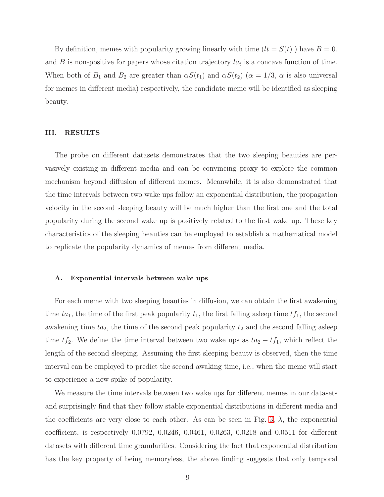By definition, memes with popularity growing linearly with time  $(lt = S(t))$  have  $B = 0$ . and B is non-positive for papers whose citation trajectory  $la_t$  is a concave function of time. When both of  $B_1$  and  $B_2$  are greater than  $\alpha S(t_1)$  and  $\alpha S(t_2)$  ( $\alpha = 1/3$ ,  $\alpha$  is also universal for memes in different media) respectively, the candidate meme will be identified as sleeping beauty.

## III. RESULTS

The probe on different datasets demonstrates that the two sleeping beauties are pervasively existing in different media and can be convincing proxy to explore the common mechanism beyond diffusion of different memes. Meanwhile, it is also demonstrated that the time intervals between two wake ups follow an exponential distribution, the propagation velocity in the second sleeping beauty will be much higher than the first one and the total popularity during the second wake up is positively related to the first wake up. These key characteristics of the sleeping beauties can be employed to establish a mathematical model to replicate the popularity dynamics of memes from different media.

#### A. Exponential intervals between wake ups

For each meme with two sleeping beauties in diffusion, we can obtain the first awakening time  $ta_1$ , the time of the first peak popularity  $t_1$ , the first falling asleep time  $tf_1$ , the second awakening time  $ta_2$ , the time of the second peak popularity  $t_2$  and the second falling asleep time  $tf_2$ . We define the time interval between two wake ups as  $ta_2 - tf_1$ , which reflect the length of the second sleeping. Assuming the first sleeping beauty is observed, then the time interval can be employed to predict the second awaking time, i.e., when the meme will start to experience a new spike of popularity.

We measure the time intervals between two wake ups for different memes in our datasets and surprisingly find that they follow stable exponential distributions in different media and the coefficients are very close to each other. As can be seen in Fig. [3,](#page-9-0)  $\lambda$ , the exponential coefficient, is respectively 0.0792, 0.0246, 0.0461, 0.0263, 0.0218 and 0.0511 for different datasets with different time granularities. Considering the fact that exponential distribution has the key property of being memoryless, the above finding suggests that only temporal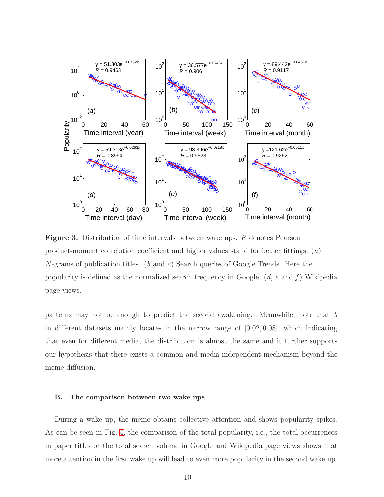<span id="page-9-0"></span>

Figure 3. Distribution of time intervals between wake ups. R denotes Pearson product-moment correlation coefficient and higher values stand for better fittings. (*a*) N-grams of publication titles. (*b* and *c*) Search queries of Google Trends. Here the popularity is defined as the normalized search frequency in Google. (*d*, *e* and *f* ) Wikipedia page views.

patterns may not be enough to predict the second awakening. Meanwhile, note that  $\lambda$ in different datasets mainly locates in the narrow range of  $[0.02, 0.08]$ , which indicating that even for different media, the distribution is almost the same and it further supports our hypothesis that there exists a common and media-independent mechanism beyond the meme diffusion.

#### B. The comparison between two wake ups

During a wake up, the meme obtains collective attention and shows popularity spikes. As can be seen in Fig. [4,](#page-10-0) the comparison of the total popularity, i.e., the total occurrences in paper titles or the total search volume in Google and Wikipedia page views shows that more attention in the first wake up will lead to even more popularity in the second wake up.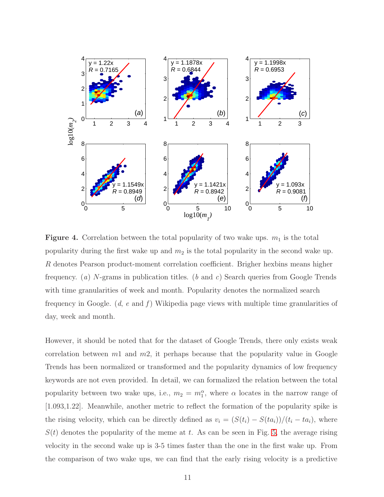<span id="page-10-0"></span>

**Figure 4.** Correlation between the total popularity of two wake ups.  $m_1$  is the total popularity during the first wake up and  $m_2$  is the total popularity in the second wake up. R denotes Pearson product-moment correlation coefficient. Brigher hexbins means higher frequency. (*a*) N-grams in publication titles. (*b* and *c*) Search queries from Google Trends with time granularities of week and month. Popularity denotes the normalized search frequency in Google. (*d*, *e* and *f* ) Wikipedia page views with multiple time granularities of day, week and month.

However, it should be noted that for the dataset of Google Trends, there only exists weak correlation between  $m_1$  and  $m_2$ , it perhaps because that the popularity value in Google Trends has been normalized or transformed and the popularity dynamics of low frequency keywords are not even provided. In detail, we can formalized the relation between the total popularity between two wake ups, i.e.,  $m_2 = m_1^{\alpha}$ , where  $\alpha$  locates in the narrow range of [1.093,1.22]. Meanwhile, another metric to reflect the formation of the popularity spike is the rising velocity, which can be directly defined as  $v_i = (S(t_i) - S(ta_i))/(t_i - ta_i)$ , where  $S(t)$  denotes the popularity of the meme at t. As can be seen in Fig. [5,](#page-11-0) the average rising velocity in the second wake up is 3-5 times faster than the one in the first wake up. From the comparison of two wake ups, we can find that the early rising velocity is a predictive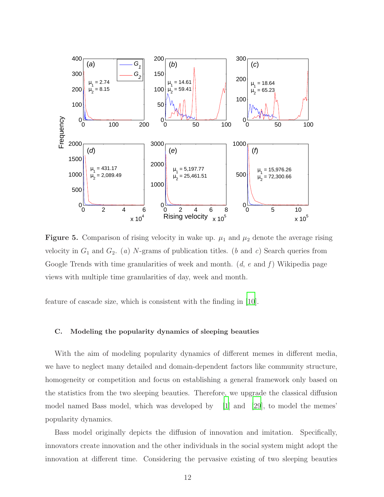<span id="page-11-0"></span>

Figure 5. Comparison of rising velocity in wake up.  $\mu_1$  and  $\mu_2$  denote the average rising velocity in  $G_1$  and  $G_2$ . (*a*) N-grams of publication titles. (*b* and *c*) Search queries from Google Trends with time granularities of week and month. (*d*, *e* and *f* ) Wikipedia page views with multiple time granularities of day, week and month.

feature of cascade size, which is consistent with the finding in [\[10\]](#page-20-2).

# C. Modeling the popularity dynamics of sleeping beauties

With the aim of modeling popularity dynamics of different memes in different media, we have to neglect many detailed and domain-dependent factors like community structure, homogeneity or competition and focus on establishing a general framework only based on the statistics from the two sleeping beauties. Therefore, we upgrade the classical diffusion model named Bass model, which was developed by [\[1](#page-19-4)] and [\[29](#page-21-11)], to model the memes' popularity dynamics.

Bass model originally depicts the diffusion of innovation and imitation. Specifically, innovators create innovation and the other individuals in the social system might adopt the innovation at different time. Considering the pervasive existing of two sleeping beauties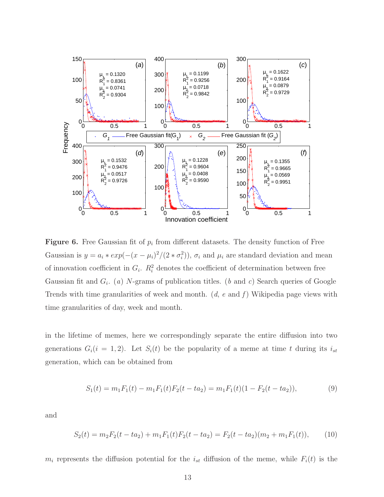<span id="page-12-0"></span>

**Figure 6.** Free Gaussian fit of  $p_i$  from different datasets. The density function of Free Gaussian is  $y = a_i * exp(-(x - \mu_i)^2/(2 * \sigma_i^2))$ ,  $\sigma_i$  and  $\mu_i$  are standard deviation and mean of innovation coefficient in  $G_i$ .  $R_i^2$  denotes the coefficient of determination between free Gaussian fit and  $G_i$ . (a) N-grams of publication titles. (b and c) Search queries of Google Trends with time granularities of week and month. (*d*, *e* and *f* ) Wikipedia page views with time granularities of day, week and month.

in the lifetime of memes, here we correspondingly separate the entire diffusion into two generations  $G_i(i = 1, 2)$ . Let  $S_i(t)$  be the popularity of a meme at time t during its  $i_{st}$ generation, which can be obtained from

$$
S_1(t) = m_1 F_1(t) - m_1 F_1(t) F_2(t - t a_2) = m_1 F_1(t) (1 - F_2(t - t a_2)),
$$
\n(9)

and

$$
S_2(t) = m_2 F_2(t - ta_2) + m_1 F_1(t) F_2(t - ta_2) = F_2(t - ta_2)(m_2 + m_1 F_1(t)), \tag{10}
$$

 $m_i$  represents the diffusion potential for the  $i_{st}$  diffusion of the meme, while  $F_i(t)$  is the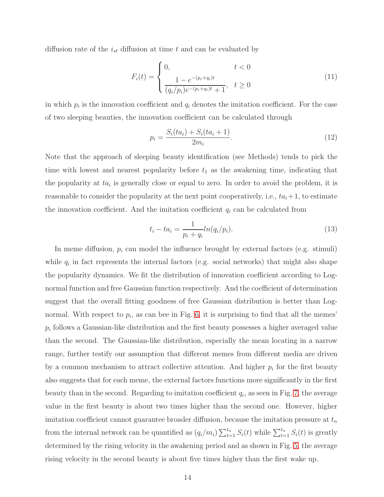diffusion rate of the  $i_{st}$  diffusion at time t and can be evaluated by

$$
F_i(t) = \begin{cases} 0, & t < 0\\ \frac{1 - e^{-(p_i + q_i)t}}{(q_i/p_i)e^{-(p_i + q_i)t} + 1}, & t \ge 0 \end{cases}
$$
(11)

in which  $p_i$  is the innovation coefficient and  $q_i$  denotes the imitation coefficient. For the case of two sleeping beauties, the innovation coefficient can be calculated through

$$
p_i = \frac{S_i(t a_i) + S_i(t a_i + 1)}{2m_i}.
$$
\n(12)

Note that the approach of sleeping beauty identification (see Methods) tends to pick the time with lowest and nearest popularity before  $t_1$  as the awakening time, indicating that the popularity at  $t a_i$  is generally close or equal to zero. In order to avoid the problem, it is reasonable to consider the popularity at the next point cooperatively, i.e.,  $ta_i+1$ , to estimate the innovation coefficient. And the imitation coefficient  $q_i$  can be calculated from

<span id="page-13-0"></span>
$$
t_i - ta_i = \frac{1}{p_i + q_i} ln(q_i / p_i).
$$
 (13)

In meme diffusion,  $p_i$  can model the influence brought by external factors (e.g. stimuli) while  $q_i$  in fact represents the internal factors (e.g. social networks) that might also shape the popularity dynamics. We fit the distribution of innovation coefficient according to Lognormal function and free Gaussian function respectively. And the coefficient of determination suggest that the overall fitting goodness of free Gaussian distribution is better than Lognormal. With respect to  $p_i$ , as can bee in Fig. [6,](#page-12-0) it is surprising to find that all the memes'  $p_i$  follows a Gaussian-like distribution and the first beauty possesses a higher averaged value than the second. The Gaussian-like distribution, especially the mean locating in a narrow range, further testify our assumption that different memes from different media are driven by a common mechanism to attract collective attention. And higher  $p_i$  for the first beauty also suggests that for each meme, the external factors functions more significantly in the first beauty than in the second. Regarding to imitation coefficient  $q_i$ , as seen in Fig. [7,](#page-14-0) the average value in the first beauty is about two times higher than the second one. However, higher imitation coefficient cannot guarantee broader diffusion, because the imitation pressure at  $t_n$ from the internal network can be quantified as  $(q_i/m_i) \sum_{t=1}^{t_n} S_i(t)$  while  $\sum_{t=1}^{t_n} S_i(t)$  is greatly determined by the rising velocity in the awakening period and as shown in Fig. [5,](#page-11-0) the average rising velocity in the second beauty is about five times higher than the first wake up.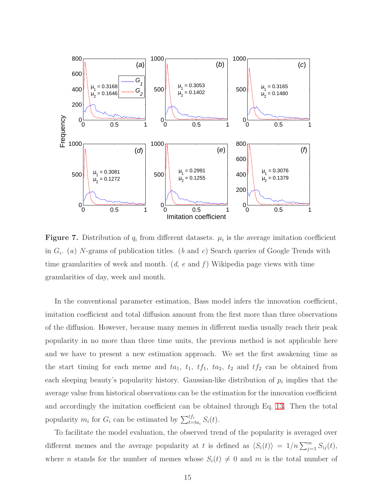<span id="page-14-0"></span>

**Figure 7.** Distribution of  $q_i$  from different datasets.  $\mu_i$  is the average imitation coefficient in  $G_i$ . (*a*) N-grams of publication titles. (*b* and *c*) Search queries of Google Trends with time granularities of week and month. (*d*, *e* and *f* ) Wikipedia page views with time granularities of day, week and month.

In the conventional parameter estimation, Bass model infers the innovation coefficient, imitation coefficient and total diffusion amount from the first more than three observations of the diffusion. However, because many memes in different media usually reach their peak popularity in no more than three time units, the previous method is not applicable here and we have to present a new estimation approach. We set the first awakening time as the start timing for each meme and  $ta_1$ ,  $t_1$ ,  $tf_1$ ,  $ta_2$ ,  $t_2$  and  $tf_2$  can be obtained from each sleeping beauty's popularity history. Gaussian-like distribution of  $p_i$  implies that the average value from historical observations can be the estimation for the innovation coefficient and accordingly the imitation coefficient can be obtained through Eq. [13.](#page-13-0) Then the total popularity  $m_i$  for  $G_i$  can be estimated by  $\sum_{t=ta_i}^{tf_i} S_i(t)$ .

To facilitate the model evaluation, the observed trend of the popularity is averaged over different memes and the average popularity at t is defined as  $\langle S_i(t) \rangle = 1/n \sum_{j=1}^m S_{ij}(t)$ , where *n* stands for the number of memes whose  $S_i(t) \neq 0$  and *m* is the total number of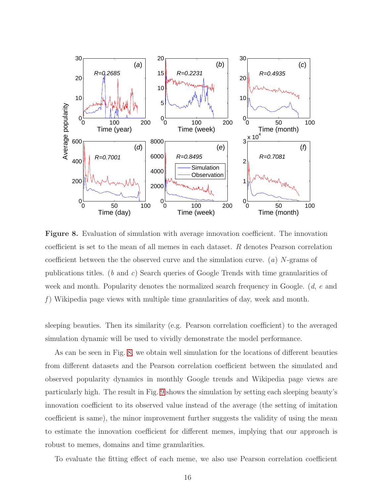<span id="page-15-0"></span>

Figure 8. Evaluation of simulation with average innovation coefficient. The innovation coefficient is set to the mean of all memes in each dataset. R denotes Pearson correlation coefficient between the the observed curve and the simulation curve. (*a*) N-grams of publications titles. (*b* and *c*) Search queries of Google Trends with time granularities of week and month. Popularity denotes the normalized search frequency in Google. (*d*, *e* and *f* ) Wikipedia page views with multiple time granularities of day, week and month.

sleeping beauties. Then its similarity (e.g. Pearson correlation coefficient) to the averaged simulation dynamic will be used to vividly demonstrate the model performance.

As can be seen in Fig. [8,](#page-15-0) we obtain well simulation for the locations of different beauties from different datasets and the Pearson correlation coefficient between the simulated and observed popularity dynamics in monthly Google trends and Wikipedia page views are particularly high. The result in Fig. [9](#page-16-0) shows the simulation by setting each sleeping beauty's innovation coefficient to its observed value instead of the average (the setting of imitation coefficient is same), the minor improvement further suggests the validity of using the mean to estimate the innovation coefficient for different memes, implying that our approach is robust to memes, domains and time granularities.

To evaluate the fitting effect of each meme, we also use Pearson correlation coefficient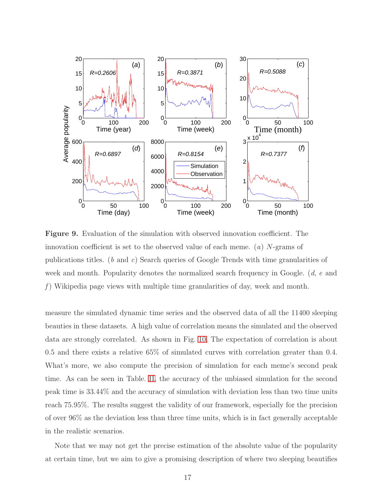<span id="page-16-0"></span>

Figure 9. Evaluation of the simulation with observed innovation coefficient. The innovation coefficient is set to the observed value of each meme. (*a*) N-grams of publications titles. (*b* and *c*) Search queries of Google Trends with time granularities of week and month. Popularity denotes the normalized search frequency in Google. (*d*, *e* and *f* ) Wikipedia page views with multiple time granularities of day, week and month.

measure the simulated dynamic time series and the observed data of all the 11400 sleeping beauties in these datasets. A high value of correlation means the simulated and the observed data are strongly correlated. As shown in Fig. [10,](#page-18-0) The expectation of correlation is about 0.5 and there exists a relative 65% of simulated curves with correlation greater than 0.4. What's more, we also compute the precision of simulation for each meme's second peak time. As can be seen in Table. [II,](#page-17-0) the accuracy of the unbiased simulation for the second peak time is 33.44% and the accuracy of simulation with deviation less than two time units reach 75.95%. The results suggest the validity of our framework, especially for the precision of over 96% as the deviation less than three time units, which is in fact generally acceptable in the realistic scenarios.

Note that we may not get the precise estimation of the absolute value of the popularity at certain time, but we aim to give a promising description of where two sleeping beautifies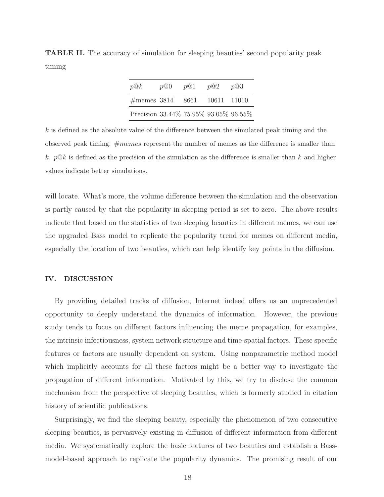<span id="page-17-0"></span>TABLE II. The accuracy of simulation for sleeping beauties' second popularity peak timing

| p@k                                   | p@0 | p@1 | p@2 | p@3 |
|---------------------------------------|-----|-----|-----|-----|
| $\#$ memes 3814 8661 10611 11010      |     |     |     |     |
| Precision 33.44% 75.95% 93.05% 96.55% |     |     |     |     |

 $k$  is defined as the absolute value of the difference between the simulated peak timing and the observed peak timing.  $\#members$  represent the number of memes as the difference is smaller than k.  $p@k$  is defined as the precision of the simulation as the difference is smaller than k and higher values indicate better simulations.

will locate. What's more, the volume difference between the simulation and the observation is partly caused by that the popularity in sleeping period is set to zero. The above results indicate that based on the statistics of two sleeping beauties in different memes, we can use the upgraded Bass model to replicate the popularity trend for memes on different media, especially the location of two beauties, which can help identify key points in the diffusion.

## IV. DISCUSSION

By providing detailed tracks of diffusion, Internet indeed offers us an unprecedented opportunity to deeply understand the dynamics of information. However, the previous study tends to focus on different factors influencing the meme propagation, for examples, the intrinsic infectiousness, system network structure and time-spatial factors. These specific features or factors are usually dependent on system. Using nonparametric method model which implicitly accounts for all these factors might be a better way to investigate the propagation of different information. Motivated by this, we try to disclose the common mechanism from the perspective of sleeping beauties, which is formerly studied in citation history of scientific publications.

Surprisingly, we find the sleeping beauty, especially the phenomenon of two consecutive sleeping beauties, is pervasively existing in diffusion of different information from different media. We systematically explore the basic features of two beauties and establish a Bassmodel-based approach to replicate the popularity dynamics. The promising result of our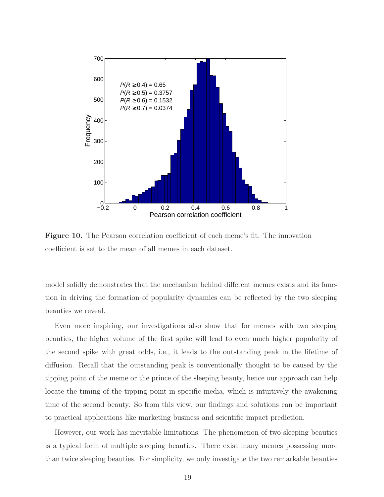<span id="page-18-0"></span>

Figure 10. The Pearson correlation coefficient of each meme's fit. The innovation coefficient is set to the mean of all memes in each dataset.

model solidly demonstrates that the mechanism behind different memes exists and its function in driving the formation of popularity dynamics can be reflected by the two sleeping beauties we reveal.

Even more inspiring, our investigations also show that for memes with two sleeping beauties, the higher volume of the first spike will lead to even much higher popularity of the second spike with great odds, i.e., it leads to the outstanding peak in the lifetime of diffusion. Recall that the outstanding peak is conventionally thought to be caused by the tipping point of the meme or the prince of the sleeping beauty, hence our approach can help locate the timing of the tipping point in specific media, which is intuitively the awakening time of the second beauty. So from this view, our findings and solutions can be important to practical applications like marketing business and scientific impact prediction.

However, our work has inevitable limitations. The phenomenon of two sleeping beauties is a typical form of multiple sleeping beauties. There exist many memes possessing more than twice sleeping beauties. For simplicity, we only investigate the two remarkable beauties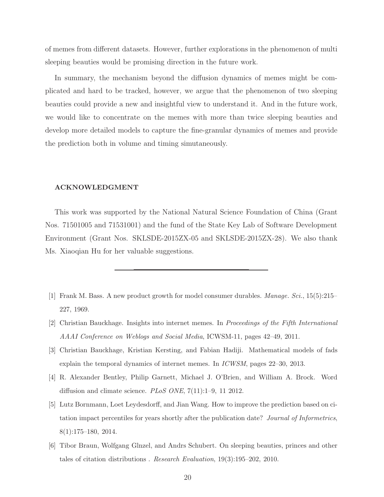of memes from different datasets. However, further explorations in the phenomenon of multi sleeping beauties would be promising direction in the future work.

In summary, the mechanism beyond the diffusion dynamics of memes might be complicated and hard to be tracked, however, we argue that the phenomenon of two sleeping beauties could provide a new and insightful view to understand it. And in the future work, we would like to concentrate on the memes with more than twice sleeping beauties and develop more detailed models to capture the fine-granular dynamics of memes and provide the prediction both in volume and timing simutaneously.

## ACKNOWLEDGMENT

This work was supported by the National Natural Science Foundation of China (Grant Nos. 71501005 and 71531001) and the fund of the State Key Lab of Software Development Environment (Grant Nos. SKLSDE-2015ZX-05 and SKLSDE-2015ZX-28). We also thank Ms. Xiaoqian Hu for her valuable suggestions.

- <span id="page-19-4"></span>[1] Frank M. Bass. A new product growth for model consumer durables. Manage. Sci., 15(5):215– 227, 1969.
- <span id="page-19-0"></span>[2] Christian Bauckhage. Insights into internet memes. In Proceedings of the Fifth International AAAI Conference on Weblogs and Social Media, ICWSM-11, pages 42–49, 2011.
- <span id="page-19-2"></span>[3] Christian Bauckhage, Kristian Kersting, and Fabian Hadiji. Mathematical models of fads explain the temporal dynamics of internet memes. In ICWSM, pages 22–30, 2013.
- <span id="page-19-1"></span>[4] R. Alexander Bentley, Philip Garnett, Michael J. O'Brien, and William A. Brock. Word diffusion and climate science. PLoS ONE, 7(11):1–9, 11 2012.
- <span id="page-19-3"></span>[5] Lutz Bornmann, Loet Leydesdorff, and Jian Wang. How to improve the prediction based on citation impact percentiles for years shortly after the publication date? Journal of Informetrics, 8(1):175–180, 2014.
- [6] Tibor Braun, Wolfgang Glnzel, and Andrs Schubert. On sleeping beauties, princes and other tales of citation distributions . Research Evaluation, 19(3):195–202, 2010.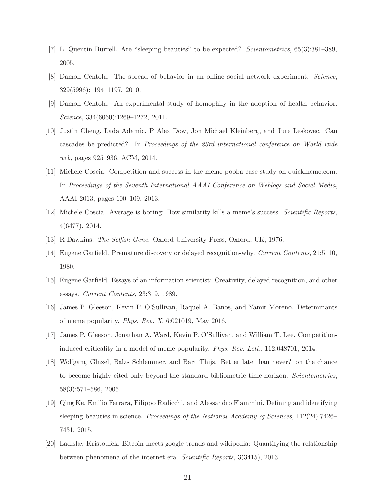- <span id="page-20-10"></span>[7] L. Quentin Burrell. Are "sleeping beauties" to be expected? Scientometrics, 65(3):381–389, 2005.
- <span id="page-20-1"></span>[8] Damon Centola. The spread of behavior in an online social network experiment. Science, 329(5996):1194–1197, 2010.
- [9] Damon Centola. An experimental study of homophily in the adoption of health behavior. Science, 334(6060):1269–1272, 2011.
- <span id="page-20-2"></span>[10] Justin Cheng, Lada Adamic, P Alex Dow, Jon Michael Kleinberg, and Jure Leskovec. Can cascades be predicted? In Proceedings of the 23rd international conference on World wide web, pages 925–936. ACM, 2014.
- <span id="page-20-5"></span>[11] Michele Coscia. Competition and success in the meme pool:a case study on quickmeme.com. In Proceedings of the Seventh International AAAI Conference on Weblogs and Social Media, AAAI 2013, pages 100–109, 2013.
- <span id="page-20-6"></span>[12] Michele Coscia. Average is boring: How similarity kills a meme's success. Scientific Reports, 4(6477), 2014.
- <span id="page-20-0"></span>[13] R Dawkins. The Selfish Gene. Oxford University Press, Oxford, UK, 1976.
- <span id="page-20-7"></span>[14] Eugene Garfield. Premature discovery or delayed recognition-why. Current Contents, 21:5–10, 1980.
- <span id="page-20-8"></span>[15] Eugene Garfield. Essays of an information scientist: Creativity, delayed recognition, and other essays. Current Contents, 23:3–9, 1989.
- <span id="page-20-3"></span>[16] James P. Gleeson, Kevin P. O'Sullivan, Raquel A. Baños, and Yamir Moreno. Determinants of meme popularity. Phys. Rev. X, 6:021019, May 2016.
- <span id="page-20-4"></span>[17] James P. Gleeson, Jonathan A. Ward, Kevin P. O'Sullivan, and William T. Lee. Competitioninduced criticality in a model of meme popularity. Phys. Rev. Lett., 112:048701, 2014.
- <span id="page-20-9"></span>[18] Wolfgang Glnzel, Balzs Schlemmer, and Bart Thijs. Better late than never? on the chance to become highly cited only beyond the standard bibliometric time horizon. *Scientometrics*, 58(3):571–586, 2005.
- <span id="page-20-11"></span>[19] Qing Ke, Emilio Ferrara, Filippo Radicchi, and Alessandro Flammini. Defining and identifying sleeping beauties in science. *Proceedings of the National Academy of Sciences*, 112(24):7426– 7431, 2015.
- <span id="page-20-12"></span>[20] Ladislav Kristoufek. Bitcoin meets google trends and wikipedia: Quantifying the relationship between phenomena of the internet era. Scientific Reports, 3(3415), 2013.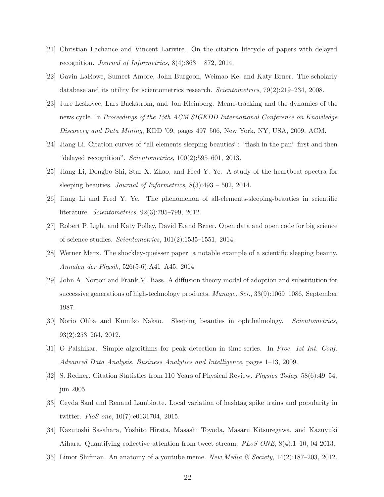- <span id="page-21-8"></span>[21] Christian Lachance and Vincent Larivire. On the citation lifecycle of papers with delayed recognition. Journal of Informetrics,  $8(4):863 - 872$ , 2014.
- <span id="page-21-12"></span>[22] Gavin LaRowe, Sumeet Ambre, John Burgoon, Weimao Ke, and Katy Brner. The scholarly database and its utility for scientometrics research. *Scientometrics*, 79(2):219–234, 2008.
- <span id="page-21-0"></span>[23] Jure Leskovec, Lars Backstrom, and Jon Kleinberg. Meme-tracking and the dynamics of the news cycle. In Proceedings of the 15th ACM SIGKDD International Conference on Knowledge Discovery and Data Mining, KDD '09, pages 497–506, New York, NY, USA, 2009. ACM.
- <span id="page-21-10"></span>[24] Jiang Li. Citation curves of "all-elements-sleeping-beauties": "flash in the pan" first and then "delayed recognition". Scientometrics, 100(2):595–601, 2013.
- <span id="page-21-9"></span>[25] Jiang Li, Dongbo Shi, Star X. Zhao, and Fred Y. Ye. A study of the heartbeat spectra for sleeping beauties. Journal of Informetrics, 8(3):493 – 502, 2014.
- <span id="page-21-4"></span>[26] Jiang Li and Fred Y. Ye. The phenomenon of all-elements-sleeping-beauties in scientific literature. Scientometrics, 92(3):795–799, 2012.
- <span id="page-21-13"></span>[27] Robert P. Light and Katy Polley, David E.and Brner. Open data and open code for big science of science studies. Scientometrics, 101(2):1535–1551, 2014.
- <span id="page-21-5"></span>[28] Werner Marx. The shockley-queisser paper a notable example of a scientific sleeping beauty. Annalen der Physik, 526(5-6):A41–A45, 2014.
- <span id="page-21-11"></span>[29] John A. Norton and Frank M. Bass. A diffusion theory model of adoption and substitution for successive generations of high-technology products. Manage. Sci., 33(9):1069–1086, September 1987.
- <span id="page-21-6"></span>[30] Norio Ohba and Kumiko Nakao. Sleeping beauties in ophthalmology. Scientometrics, 93(2):253–264, 2012.
- <span id="page-21-14"></span>[31] G Palshikar. Simple algorithms for peak detection in time-series. In Proc. 1st Int. Conf. Advanced Data Analysis, Business Analytics and Intelligence, pages 1–13, 2009.
- <span id="page-21-7"></span>[32] S. Redner. Citation Statistics from 110 Years of Physical Review. Physics Today, 58(6):49–54, jun 2005.
- <span id="page-21-2"></span>[33] Ceyda Sanl and Renaud Lambiotte. Local variation of hashtag spike trains and popularity in twitter. PloS one, 10(7):e0131704, 2015.
- <span id="page-21-1"></span>[34] Kazutoshi Sasahara, Yoshito Hirata, Masashi Toyoda, Masaru Kitsuregawa, and Kazuyuki Aihara. Quantifying collective attention from tweet stream. PLoS ONE, 8(4):1–10, 04 2013.
- <span id="page-21-3"></span>[35] Limor Shifman. An anatomy of a youtube meme. New Media  $\mathscr B$  Society, 14(2):187–203, 2012.